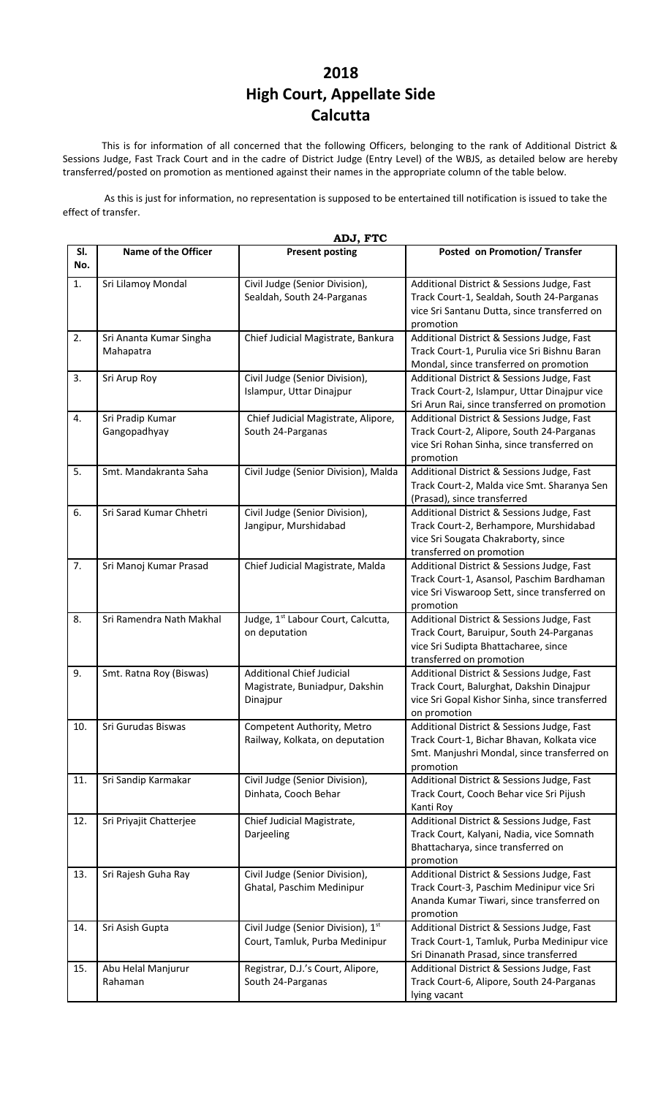## **2018 High Court, Appellate Side Calcutta**

This is for information of all concerned that the following Officers, belonging to the rank of Additional District & Sessions Judge, Fast Track Court and in the cadre of District Judge (Entry Level) of the WBJS, as detailed below are hereby transferred/posted on promotion as mentioned against their names in the appropriate column of the table below.

 As this is just for information, no representation is supposed to be entertained till notification is issued to take the effect of transfer.

|            | ADJ, FTC                             |                                                                                |                                                                                                                                                            |  |  |  |
|------------|--------------------------------------|--------------------------------------------------------------------------------|------------------------------------------------------------------------------------------------------------------------------------------------------------|--|--|--|
| SI.<br>No. | Name of the Officer                  | <b>Present posting</b>                                                         | Posted on Promotion/ Transfer                                                                                                                              |  |  |  |
| 1.         | Sri Lilamoy Mondal                   | Civil Judge (Senior Division),<br>Sealdah, South 24-Parganas                   | Additional District & Sessions Judge, Fast<br>Track Court-1, Sealdah, South 24-Parganas<br>vice Sri Santanu Dutta, since transferred on<br>promotion       |  |  |  |
| 2.         | Sri Ananta Kumar Singha<br>Mahapatra | Chief Judicial Magistrate, Bankura                                             | Additional District & Sessions Judge, Fast<br>Track Court-1, Purulia vice Sri Bishnu Baran<br>Mondal, since transferred on promotion                       |  |  |  |
| 3.         | Sri Arup Roy                         | Civil Judge (Senior Division),<br>Islampur, Uttar Dinajpur                     | Additional District & Sessions Judge, Fast<br>Track Court-2, Islampur, Uttar Dinajpur vice<br>Sri Arun Rai, since transferred on promotion                 |  |  |  |
| 4.         | Sri Pradip Kumar<br>Gangopadhyay     | Chief Judicial Magistrate, Alipore,<br>South 24-Parganas                       | Additional District & Sessions Judge, Fast<br>Track Court-2, Alipore, South 24-Parganas<br>vice Sri Rohan Sinha, since transferred on<br>promotion         |  |  |  |
| 5.         | Smt. Mandakranta Saha                | Civil Judge (Senior Division), Malda                                           | Additional District & Sessions Judge, Fast<br>Track Court-2, Malda vice Smt. Sharanya Sen<br>(Prasad), since transferred                                   |  |  |  |
| 6.         | Sri Sarad Kumar Chhetri              | Civil Judge (Senior Division),<br>Jangipur, Murshidabad                        | Additional District & Sessions Judge, Fast<br>Track Court-2, Berhampore, Murshidabad<br>vice Sri Sougata Chakraborty, since<br>transferred on promotion    |  |  |  |
| 7.         | Sri Manoj Kumar Prasad               | Chief Judicial Magistrate, Malda                                               | Additional District & Sessions Judge, Fast<br>Track Court-1, Asansol, Paschim Bardhaman<br>vice Sri Viswaroop Sett, since transferred on<br>promotion      |  |  |  |
| 8.         | Sri Ramendra Nath Makhal             | Judge, 1 <sup>st</sup> Labour Court, Calcutta,<br>on deputation                | Additional District & Sessions Judge, Fast<br>Track Court, Baruipur, South 24-Parganas<br>vice Sri Sudipta Bhattacharee, since<br>transferred on promotion |  |  |  |
| 9.         | Smt. Ratna Roy (Biswas)              | <b>Additional Chief Judicial</b><br>Magistrate, Buniadpur, Dakshin<br>Dinajpur | Additional District & Sessions Judge, Fast<br>Track Court, Balurghat, Dakshin Dinajpur<br>vice Sri Gopal Kishor Sinha, since transferred<br>on promotion   |  |  |  |
| 10.        | Sri Gurudas Biswas                   | Competent Authority, Metro<br>Railway, Kolkata, on deputation                  | Additional District & Sessions Judge, Fast<br>Track Court-1, Bichar Bhavan, Kolkata vice<br>Smt. Manjushri Mondal, since transferred on<br>promotion       |  |  |  |
| 11.        | Sri Sandip Karmakar                  | Civil Judge (Senior Division),<br>Dinhata, Cooch Behar                         | Additional District & Sessions Judge, Fast<br>Track Court, Cooch Behar vice Sri Pijush<br>Kanti Roy                                                        |  |  |  |
| 12.        | Sri Priyajit Chatterjee              | Chief Judicial Magistrate,<br>Darjeeling                                       | Additional District & Sessions Judge, Fast<br>Track Court, Kalyani, Nadia, vice Somnath<br>Bhattacharya, since transferred on<br>promotion                 |  |  |  |
| 13.        | Sri Rajesh Guha Ray                  | Civil Judge (Senior Division),<br>Ghatal, Paschim Medinipur                    | Additional District & Sessions Judge, Fast<br>Track Court-3, Paschim Medinipur vice Sri<br>Ananda Kumar Tiwari, since transferred on<br>promotion          |  |  |  |
| 14.        | Sri Asish Gupta                      | Civil Judge (Senior Division), 1st<br>Court, Tamluk, Purba Medinipur           | Additional District & Sessions Judge, Fast<br>Track Court-1, Tamluk, Purba Medinipur vice<br>Sri Dinanath Prasad, since transferred                        |  |  |  |
| 15.        | Abu Helal Manjurur<br>Rahaman        | Registrar, D.J.'s Court, Alipore,<br>South 24-Parganas                         | Additional District & Sessions Judge, Fast<br>Track Court-6, Alipore, South 24-Parganas<br>lying vacant                                                    |  |  |  |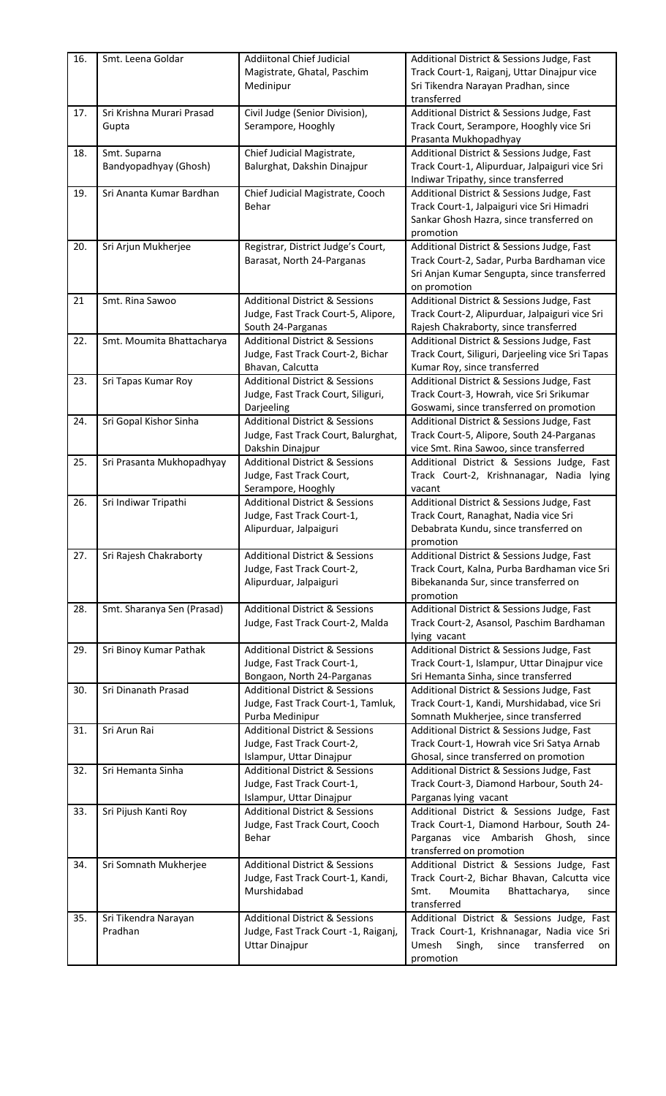| 16. | Smt. Leena Goldar          | <b>Addiitonal Chief Judicial</b>          | Additional District & Sessions Judge, Fast       |
|-----|----------------------------|-------------------------------------------|--------------------------------------------------|
|     |                            | Magistrate, Ghatal, Paschim               | Track Court-1, Raiganj, Uttar Dinajpur vice      |
|     |                            | Medinipur                                 | Sri Tikendra Narayan Pradhan, since              |
|     |                            |                                           | transferred                                      |
| 17. | Sri Krishna Murari Prasad  | Civil Judge (Senior Division),            | Additional District & Sessions Judge, Fast       |
|     | Gupta                      | Serampore, Hooghly                        | Track Court, Serampore, Hooghly vice Sri         |
|     |                            |                                           | Prasanta Mukhopadhyay                            |
| 18. | Smt. Suparna               | Chief Judicial Magistrate,                | Additional District & Sessions Judge, Fast       |
|     | Bandyopadhyay (Ghosh)      | Balurghat, Dakshin Dinajpur               | Track Court-1, Alipurduar, Jalpaiguri vice Sri   |
|     |                            |                                           | Indiwar Tripathy, since transferred              |
| 19. | Sri Ananta Kumar Bardhan   | Chief Judicial Magistrate, Cooch          | Additional District & Sessions Judge, Fast       |
|     |                            | Behar                                     | Track Court-1, Jalpaiguri vice Sri Himadri       |
|     |                            |                                           | Sankar Ghosh Hazra, since transferred on         |
|     |                            |                                           | promotion                                        |
| 20. | Sri Arjun Mukherjee        | Registrar, District Judge's Court,        | Additional District & Sessions Judge, Fast       |
|     |                            | Barasat, North 24-Parganas                | Track Court-2, Sadar, Purba Bardhaman vice       |
|     |                            |                                           | Sri Anjan Kumar Sengupta, since transferred      |
|     |                            |                                           | on promotion                                     |
| 21  | Smt. Rina Sawoo            | <b>Additional District &amp; Sessions</b> | Additional District & Sessions Judge, Fast       |
|     |                            | Judge, Fast Track Court-5, Alipore,       | Track Court-2, Alipurduar, Jalpaiguri vice Sri   |
|     |                            | South 24-Parganas                         | Rajesh Chakraborty, since transferred            |
| 22. | Smt. Moumita Bhattacharya  | <b>Additional District &amp; Sessions</b> | Additional District & Sessions Judge, Fast       |
|     |                            | Judge, Fast Track Court-2, Bichar         | Track Court, Siliguri, Darjeeling vice Sri Tapas |
|     |                            | Bhavan, Calcutta                          | Kumar Roy, since transferred                     |
| 23. | Sri Tapas Kumar Roy        | <b>Additional District &amp; Sessions</b> | Additional District & Sessions Judge, Fast       |
|     |                            | Judge, Fast Track Court, Siliguri,        | Track Court-3, Howrah, vice Sri Srikumar         |
|     |                            | Darjeeling                                | Goswami, since transferred on promotion          |
| 24. | Sri Gopal Kishor Sinha     | <b>Additional District &amp; Sessions</b> | Additional District & Sessions Judge, Fast       |
|     |                            | Judge, Fast Track Court, Balurghat,       | Track Court-5, Alipore, South 24-Parganas        |
|     |                            | Dakshin Dinajpur                          | vice Smt. Rina Sawoo, since transferred          |
| 25. | Sri Prasanta Mukhopadhyay  | <b>Additional District &amp; Sessions</b> | Additional District & Sessions Judge, Fast       |
|     |                            | Judge, Fast Track Court,                  | Track Court-2, Krishnanagar, Nadia lying         |
|     |                            | Serampore, Hooghly                        | vacant                                           |
| 26. | Sri Indiwar Tripathi       | <b>Additional District &amp; Sessions</b> | Additional District & Sessions Judge, Fast       |
|     |                            | Judge, Fast Track Court-1,                | Track Court, Ranaghat, Nadia vice Sri            |
|     |                            | Alipurduar, Jalpaiguri                    | Debabrata Kundu, since transferred on            |
|     |                            |                                           | promotion                                        |
| 27. | Sri Rajesh Chakraborty     | <b>Additional District &amp; Sessions</b> | Additional District & Sessions Judge, Fast       |
|     |                            | Judge, Fast Track Court-2,                | Track Court, Kalna, Purba Bardhaman vice Sri     |
|     |                            | Alipurduar, Jalpaiguri                    | Bibekananda Sur, since transferred on            |
|     |                            |                                           | promotion                                        |
| 28. | Smt. Sharanya Sen (Prasad) | <b>Additional District &amp; Sessions</b> | Additional District & Sessions Judge, Fast       |
|     |                            | Judge, Fast Track Court-2, Malda          | Track Court-2, Asansol, Paschim Bardhaman        |
|     |                            |                                           | lying vacant                                     |
| 29. | Sri Binoy Kumar Pathak     | <b>Additional District &amp; Sessions</b> | Additional District & Sessions Judge, Fast       |
|     |                            | Judge, Fast Track Court-1,                | Track Court-1, Islampur, Uttar Dinajpur vice     |
|     |                            | Bongaon, North 24-Parganas                | Sri Hemanta Sinha, since transferred             |
| 30. | Sri Dinanath Prasad        | <b>Additional District &amp; Sessions</b> | Additional District & Sessions Judge, Fast       |
|     |                            | Judge, Fast Track Court-1, Tamluk,        | Track Court-1, Kandi, Murshidabad, vice Sri      |
|     |                            | Purba Medinipur                           | Somnath Mukherjee, since transferred             |
| 31. | Sri Arun Rai               | <b>Additional District &amp; Sessions</b> | Additional District & Sessions Judge, Fast       |
|     |                            | Judge, Fast Track Court-2,                | Track Court-1, Howrah vice Sri Satya Arnab       |
|     |                            | Islampur, Uttar Dinajpur                  | Ghosal, since transferred on promotion           |
| 32. | Sri Hemanta Sinha          | <b>Additional District &amp; Sessions</b> | Additional District & Sessions Judge, Fast       |
|     |                            | Judge, Fast Track Court-1,                | Track Court-3, Diamond Harbour, South 24-        |
|     |                            | Islampur, Uttar Dinajpur                  | Parganas lying vacant                            |
| 33. | Sri Pijush Kanti Roy       | <b>Additional District &amp; Sessions</b> | Additional District & Sessions Judge, Fast       |
|     |                            | Judge, Fast Track Court, Cooch            | Track Court-1, Diamond Harbour, South 24-        |
|     |                            | Behar                                     | Parganas vice Ambarish Ghosh,<br>since           |
|     |                            |                                           | transferred on promotion                         |
| 34. | Sri Somnath Mukherjee      | <b>Additional District &amp; Sessions</b> | Additional District & Sessions Judge, Fast       |
|     |                            | Judge, Fast Track Court-1, Kandi,         | Track Court-2, Bichar Bhavan, Calcutta vice      |
|     |                            | Murshidabad                               | Smt.<br>Moumita<br>Bhattacharya,<br>since        |
|     |                            |                                           | transferred                                      |
| 35. | Sri Tikendra Narayan       | <b>Additional District &amp; Sessions</b> | Additional District & Sessions Judge, Fast       |
|     | Pradhan                    | Judge, Fast Track Court -1, Raiganj,      | Track Court-1, Krishnanagar, Nadia vice Sri      |
|     |                            | <b>Uttar Dinajpur</b>                     | Umesh<br>Singh,<br>transferred<br>since<br>on    |
|     |                            |                                           | promotion                                        |